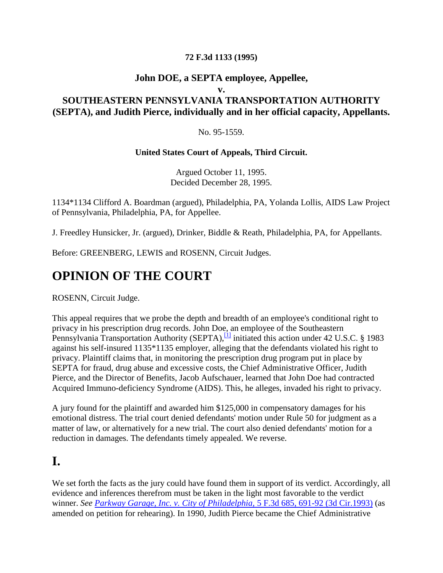#### **72 F.3d 1133 (1995)**

#### **John DOE, a SEPTA employee, Appellee,**

#### **v. SOUTHEASTERN PENNSYLVANIA TRANSPORTATION AUTHORITY (SEPTA), and Judith Pierce, individually and in her official capacity, Appellants.**

No. 95-1559.

#### **United States Court of Appeals, Third Circuit.**

Argued October 11, 1995. Decided December 28, 1995.

1134\*1134 Clifford A. Boardman (argued), Philadelphia, PA, Yolanda Lollis, AIDS Law Project of Pennsylvania, Philadelphia, PA, for Appellee.

J. Freedley Hunsicker, Jr. (argued), Drinker, Biddle & Reath, Philadelphia, PA, for Appellants.

Before: GREENBERG, LEWIS and ROSENN, Circuit Judges.

### **OPINION OF THE COURT**

ROSENN, Circuit Judge.

This appeal requires that we probe the depth and breadth of an employee's conditional right to privacy in his prescription drug records. John Doe, an employee of the Southeastern Pennsylvania Transportation Authority (SEPTA), $\frac{11}{11}$  initiated this action under 42 U.S.C. § 1983 against his self-insured 1135\*1135 employer, alleging that the defendants violated his right to privacy. Plaintiff claims that, in monitoring the prescription drug program put in place by SEPTA for fraud, drug abuse and excessive costs, the Chief Administrative Officer, Judith Pierce, and the Director of Benefits, Jacob Aufschauer, learned that John Doe had contracted Acquired Immuno-deficiency Syndrome (AIDS). This, he alleges, invaded his right to privacy.

A jury found for the plaintiff and awarded him \$125,000 in compensatory damages for his emotional distress. The trial court denied defendants' motion under Rule 50 for judgment as a matter of law, or alternatively for a new trial. The court also denied defendants' motion for a reduction in damages. The defendants timely appealed. We reverse.

#### **I.**

We set forth the facts as the jury could have found them in support of its verdict. Accordingly, all evidence and inferences therefrom must be taken in the light most favorable to the verdict winner. *See [Parkway Garage, Inc. v. City of Philadelphia,](http://scholar.google.co.in/scholar_case?case=1513681999608042528&hl=en&as_sdt=2002&as_vis=1)* 5 F.3d 685, 691-92 (3d Cir.1993) (as amended on petition for rehearing). In 1990, Judith Pierce became the Chief Administrative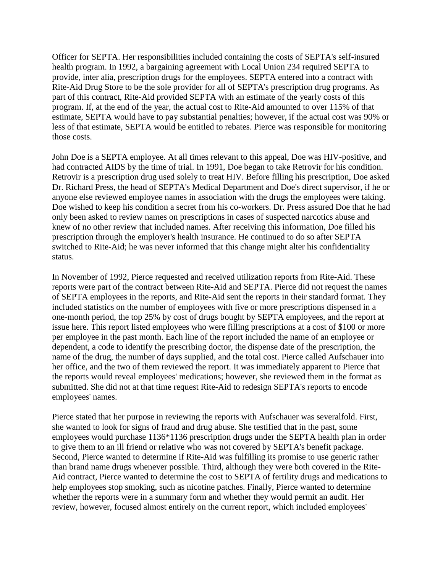Officer for SEPTA. Her responsibilities included containing the costs of SEPTA's self-insured health program. In 1992, a bargaining agreement with Local Union 234 required SEPTA to provide, inter alia, prescription drugs for the employees. SEPTA entered into a contract with Rite-Aid Drug Store to be the sole provider for all of SEPTA's prescription drug programs. As part of this contract, Rite-Aid provided SEPTA with an estimate of the yearly costs of this program. If, at the end of the year, the actual cost to Rite-Aid amounted to over 115% of that estimate, SEPTA would have to pay substantial penalties; however, if the actual cost was 90% or less of that estimate, SEPTA would be entitled to rebates. Pierce was responsible for monitoring those costs.

John Doe is a SEPTA employee. At all times relevant to this appeal, Doe was HIV-positive, and had contracted AIDS by the time of trial. In 1991, Doe began to take Retrovir for his condition. Retrovir is a prescription drug used solely to treat HIV. Before filling his prescription, Doe asked Dr. Richard Press, the head of SEPTA's Medical Department and Doe's direct supervisor, if he or anyone else reviewed employee names in association with the drugs the employees were taking. Doe wished to keep his condition a secret from his co-workers. Dr. Press assured Doe that he had only been asked to review names on prescriptions in cases of suspected narcotics abuse and knew of no other review that included names. After receiving this information, Doe filled his prescription through the employer's health insurance. He continued to do so after SEPTA switched to Rite-Aid; he was never informed that this change might alter his confidentiality status.

In November of 1992, Pierce requested and received utilization reports from Rite-Aid. These reports were part of the contract between Rite-Aid and SEPTA. Pierce did not request the names of SEPTA employees in the reports, and Rite-Aid sent the reports in their standard format. They included statistics on the number of employees with five or more prescriptions dispensed in a one-month period, the top 25% by cost of drugs bought by SEPTA employees, and the report at issue here. This report listed employees who were filling prescriptions at a cost of \$100 or more per employee in the past month. Each line of the report included the name of an employee or dependent, a code to identify the prescribing doctor, the dispense date of the prescription, the name of the drug, the number of days supplied, and the total cost. Pierce called Aufschauer into her office, and the two of them reviewed the report. It was immediately apparent to Pierce that the reports would reveal employees' medications; however, she reviewed them in the format as submitted. She did not at that time request Rite-Aid to redesign SEPTA's reports to encode employees' names.

Pierce stated that her purpose in reviewing the reports with Aufschauer was severalfold. First, she wanted to look for signs of fraud and drug abuse. She testified that in the past, some employees would purchase 1136\*1136 prescription drugs under the SEPTA health plan in order to give them to an ill friend or relative who was not covered by SEPTA's benefit package. Second, Pierce wanted to determine if Rite-Aid was fulfilling its promise to use generic rather than brand name drugs whenever possible. Third, although they were both covered in the Rite-Aid contract, Pierce wanted to determine the cost to SEPTA of fertility drugs and medications to help employees stop smoking, such as nicotine patches. Finally, Pierce wanted to determine whether the reports were in a summary form and whether they would permit an audit. Her review, however, focused almost entirely on the current report, which included employees'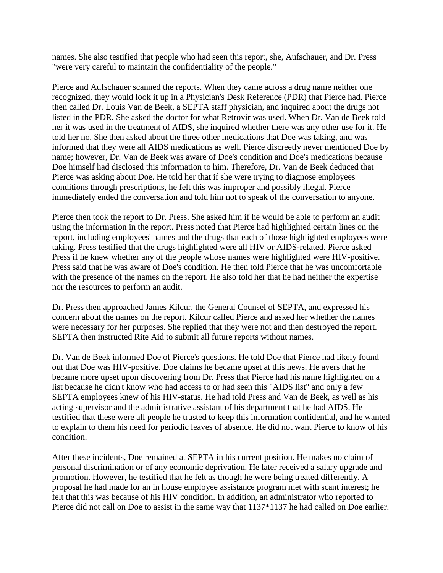names. She also testified that people who had seen this report, she, Aufschauer, and Dr. Press "were very careful to maintain the confidentiality of the people."

Pierce and Aufschauer scanned the reports. When they came across a drug name neither one recognized, they would look it up in a Physician's Desk Reference (PDR) that Pierce had. Pierce then called Dr. Louis Van de Beek, a SEPTA staff physician, and inquired about the drugs not listed in the PDR. She asked the doctor for what Retrovir was used. When Dr. Van de Beek told her it was used in the treatment of AIDS, she inquired whether there was any other use for it. He told her no. She then asked about the three other medications that Doe was taking, and was informed that they were all AIDS medications as well. Pierce discreetly never mentioned Doe by name; however, Dr. Van de Beek was aware of Doe's condition and Doe's medications because Doe himself had disclosed this information to him. Therefore, Dr. Van de Beek deduced that Pierce was asking about Doe. He told her that if she were trying to diagnose employees' conditions through prescriptions, he felt this was improper and possibly illegal. Pierce immediately ended the conversation and told him not to speak of the conversation to anyone.

Pierce then took the report to Dr. Press. She asked him if he would be able to perform an audit using the information in the report. Press noted that Pierce had highlighted certain lines on the report, including employees' names and the drugs that each of those highlighted employees were taking. Press testified that the drugs highlighted were all HIV or AIDS-related. Pierce asked Press if he knew whether any of the people whose names were highlighted were HIV-positive. Press said that he was aware of Doe's condition. He then told Pierce that he was uncomfortable with the presence of the names on the report. He also told her that he had neither the expertise nor the resources to perform an audit.

Dr. Press then approached James Kilcur, the General Counsel of SEPTA, and expressed his concern about the names on the report. Kilcur called Pierce and asked her whether the names were necessary for her purposes. She replied that they were not and then destroyed the report. SEPTA then instructed Rite Aid to submit all future reports without names.

Dr. Van de Beek informed Doe of Pierce's questions. He told Doe that Pierce had likely found out that Doe was HIV-positive. Doe claims he became upset at this news. He avers that he became more upset upon discovering from Dr. Press that Pierce had his name highlighted on a list because he didn't know who had access to or had seen this "AIDS list" and only a few SEPTA employees knew of his HIV-status. He had told Press and Van de Beek, as well as his acting supervisor and the administrative assistant of his department that he had AIDS. He testified that these were all people he trusted to keep this information confidential, and he wanted to explain to them his need for periodic leaves of absence. He did not want Pierce to know of his condition.

After these incidents, Doe remained at SEPTA in his current position. He makes no claim of personal discrimination or of any economic deprivation. He later received a salary upgrade and promotion. However, he testified that he felt as though he were being treated differently. A proposal he had made for an in house employee assistance program met with scant interest; he felt that this was because of his HIV condition. In addition, an administrator who reported to Pierce did not call on Doe to assist in the same way that 1137\*1137 he had called on Doe earlier.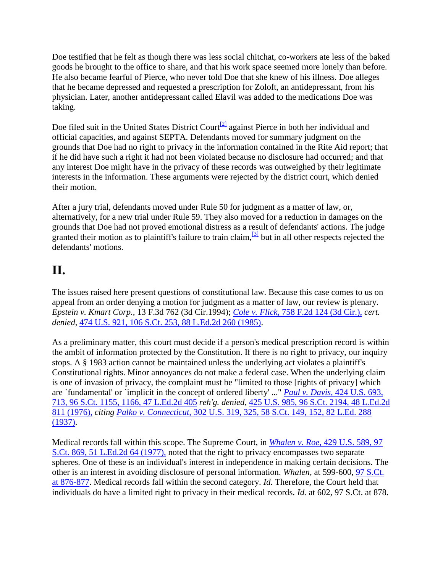Doe testified that he felt as though there was less social chitchat, co-workers ate less of the baked goods he brought to the office to share, and that his work space seemed more lonely than before. He also became fearful of Pierce, who never told Doe that she knew of his illness. Doe alleges that he became depressed and requested a prescription for Zoloft, an antidepressant, from his physician. Later, another antidepressant called Elavil was added to the medications Doe was taking.

Doe filed suit in the United States District Court<sup>[\[2\]](http://scholar.google.co.in/scholar_case?case=17589155420410349788&hl=en&as_sdt=2&as_vis=1&oi=scholarr#[2])</sup> against Pierce in both her individual and official capacities, and against SEPTA. Defendants moved for summary judgment on the grounds that Doe had no right to privacy in the information contained in the Rite Aid report; that if he did have such a right it had not been violated because no disclosure had occurred; and that any interest Doe might have in the privacy of these records was outweighed by their legitimate interests in the information. These arguments were rejected by the district court, which denied their motion.

After a jury trial, defendants moved under Rule 50 for judgment as a matter of law, or, alternatively, for a new trial under Rule 59. They also moved for a reduction in damages on the grounds that Doe had not proved emotional distress as a result of defendants' actions. The judge granted their motion as to plaintiff's failure to train claim,  $\frac{3}{3}$  but in all other respects rejected the defendants' motions.

# **II.**

The issues raised here present questions of constitutional law. Because this case comes to us on appeal from an order denying a motion for judgment as a matter of law, our review is plenary. *Epstein v. Kmart Corp.,* 13 F.3d 762 (3d Cir.1994); *Cole v. Flick,* [758 F.2d 124 \(3d Cir.\),](http://scholar.google.co.in/scholar_case?case=15477046874387234990&hl=en&as_sdt=2002&as_vis=1) *cert. denied,* [474 U.S. 921, 106 S.Ct. 253, 88 L.Ed.2d 260 \(1985\).](http://scholar.google.co.in/scholar_case?about=13120983481201724283&hl=en&as_sdt=2002&as_vis=1)

As a preliminary matter, this court must decide if a person's medical prescription record is within the ambit of information protected by the Constitution. If there is no right to privacy, our inquiry stops. A § 1983 action cannot be maintained unless the underlying act violates a plaintiff's Constitutional rights. Minor annoyances do not make a federal case. When the underlying claim is one of invasion of privacy, the complaint must be "limited to those [rights of privacy] which are `fundamental' or `implicit in the concept of ordered liberty' ..." *Paul v. Davis,* [424 U.S. 693,](http://scholar.google.co.in/scholar_case?case=6713242460336491904&hl=en&as_sdt=2002&as_vis=1)  [713, 96 S.Ct. 1155, 1166, 47 L.Ed.2d 405](http://scholar.google.co.in/scholar_case?case=6713242460336491904&hl=en&as_sdt=2002&as_vis=1) *reh'g. denied,* [425 U.S. 985, 96 S.Ct. 2194, 48 L.Ed.2d](http://scholar.google.co.in/scholar_case?case=6713242460336491904&hl=en&as_sdt=2002&as_vis=1)  [811 \(1976\),](http://scholar.google.co.in/scholar_case?case=6713242460336491904&hl=en&as_sdt=2002&as_vis=1) *citing Palko v. Connecticut,* [302 U.S. 319, 325, 58 S.Ct. 149, 152, 82 L.Ed. 288](http://scholar.google.co.in/scholar_case?case=12321164045846135407&hl=en&as_sdt=2002&as_vis=1)  [\(1937\).](http://scholar.google.co.in/scholar_case?case=12321164045846135407&hl=en&as_sdt=2002&as_vis=1)

Medical records fall within this scope. The Supreme Court, in *Whalen v. Roe,* [429 U.S. 589, 97](http://scholar.google.co.in/scholar_case?case=8555735987895894452&hl=en&as_sdt=2002&as_vis=1)  [S.Ct. 869, 51 L.Ed.2d 64 \(1977\),](http://scholar.google.co.in/scholar_case?case=8555735987895894452&hl=en&as_sdt=2002&as_vis=1) noted that the right to privacy encompasses two separate spheres. One of these is an individual's interest in independence in making certain decisions. The other is an interest in avoiding disclosure of personal information. *Whalen,* at 599-600, [97 S.Ct.](http://scholar.google.co.in/scholar_case?case=8555735987895894452&hl=en&as_sdt=2002&as_vis=1)  [at 876-877.](http://scholar.google.co.in/scholar_case?case=8555735987895894452&hl=en&as_sdt=2002&as_vis=1) Medical records fall within the second category. *Id.* Therefore, the Court held that individuals do have a limited right to privacy in their medical records. *Id.* at 602, 97 S.Ct. at 878.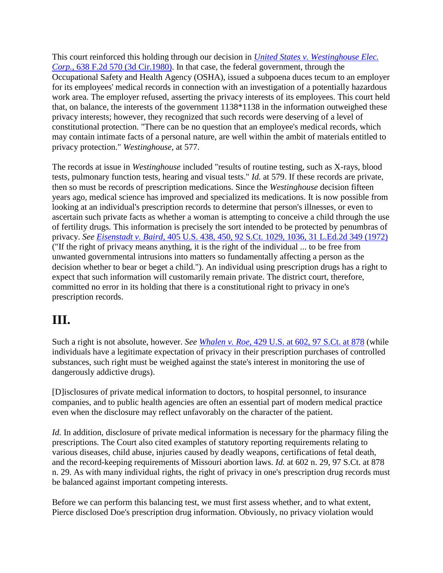This court reinforced this holding through our decision in *[United States v. Westinghouse Elec.](http://scholar.google.co.in/scholar_case?case=10617585320101639909&hl=en&as_sdt=2002&as_vis=1)  Corp.,* [638 F.2d 570 \(3d Cir.1980\).](http://scholar.google.co.in/scholar_case?case=10617585320101639909&hl=en&as_sdt=2002&as_vis=1) In that case, the federal government, through the Occupational Safety and Health Agency (OSHA), issued a subpoena duces tecum to an employer for its employees' medical records in connection with an investigation of a potentially hazardous work area. The employer refused, asserting the privacy interests of its employees. This court held that, on balance, the interests of the government 1138\*1138 in the information outweighed these privacy interests; however, they recognized that such records were deserving of a level of constitutional protection. "There can be no question that an employee's medical records, which may contain intimate facts of a personal nature, are well within the ambit of materials entitled to privacy protection." *Westinghouse,* at 577.

The records at issue in *Westinghouse* included "results of routine testing, such as X-rays, blood tests, pulmonary function tests, hearing and visual tests." *Id.* at 579. If these records are private, then so must be records of prescription medications. Since the *Westinghouse* decision fifteen years ago, medical science has improved and specialized its medications. It is now possible from looking at an individual's prescription records to determine that person's illnesses, or even to ascertain such private facts as whether a woman is attempting to conceive a child through the use of fertility drugs. This information is precisely the sort intended to be protected by penumbras of privacy. *See Eisenstadt v. Baird,* [405 U.S. 438, 450, 92 S.Ct. 1029, 1036, 31 L.Ed.2d 349 \(1972\)](http://scholar.google.co.in/scholar_case?case=14131534241682283357&hl=en&as_sdt=2002&as_vis=1) ("If the right of privacy means anything, it is the right of the individual ... to be free from unwanted governmental intrusions into matters so fundamentally affecting a person as the decision whether to bear or beget a child."). An individual using prescription drugs has a right to expect that such information will customarily remain private. The district court, therefore, committed no error in its holding that there is a constitutional right to privacy in one's prescription records.

# **III.**

Such a right is not absolute, however. *See Whalen v. Roe,* [429 U.S. at 602, 97 S.Ct. at 878](http://scholar.google.co.in/scholar_case?case=8555735987895894452&hl=en&as_sdt=2002&as_vis=1) (while individuals have a legitimate expectation of privacy in their prescription purchases of controlled substances, such right must be weighed against the state's interest in monitoring the use of dangerously addictive drugs).

[D]isclosures of private medical information to doctors, to hospital personnel, to insurance companies, and to public health agencies are often an essential part of modern medical practice even when the disclosure may reflect unfavorably on the character of the patient.

*Id.* In addition, disclosure of private medical information is necessary for the pharmacy filing the prescriptions. The Court also cited examples of statutory reporting requirements relating to various diseases, child abuse, injuries caused by deadly weapons, certifications of fetal death, and the record-keeping requirements of Missouri abortion laws. *Id.* at 602 n. 29, 97 S.Ct. at 878 n. 29. As with many individual rights, the right of privacy in one's prescription drug records must be balanced against important competing interests.

Before we can perform this balancing test, we must first assess whether, and to what extent, Pierce disclosed Doe's prescription drug information. Obviously, no privacy violation would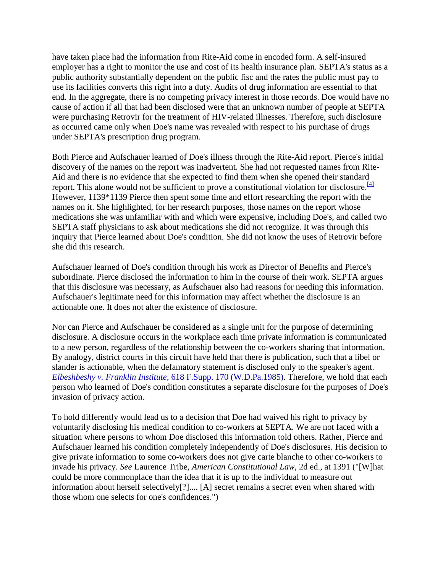have taken place had the information from Rite-Aid come in encoded form. A self-insured employer has a right to monitor the use and cost of its health insurance plan. SEPTA's status as a public authority substantially dependent on the public fisc and the rates the public must pay to use its facilities converts this right into a duty. Audits of drug information are essential to that end. In the aggregate, there is no competing privacy interest in those records. Doe would have no cause of action if all that had been disclosed were that an unknown number of people at SEPTA were purchasing Retrovir for the treatment of HIV-related illnesses. Therefore, such disclosure as occurred came only when Doe's name was revealed with respect to his purchase of drugs under SEPTA's prescription drug program.

Both Pierce and Aufschauer learned of Doe's illness through the Rite-Aid report. Pierce's initial discovery of the names on the report was inadvertent. She had not requested names from Rite-Aid and there is no evidence that she expected to find them when she opened their standard report. This alone would not be sufficient to prove a constitutional violation for disclosure.  $\frac{4}{4}$ However, 1139\*1139 Pierce then spent some time and effort researching the report with the names on it. She highlighted, for her research purposes, those names on the report whose medications she was unfamiliar with and which were expensive, including Doe's, and called two SEPTA staff physicians to ask about medications she did not recognize. It was through this inquiry that Pierce learned about Doe's condition. She did not know the uses of Retrovir before she did this research.

Aufschauer learned of Doe's condition through his work as Director of Benefits and Pierce's subordinate. Pierce disclosed the information to him in the course of their work. SEPTA argues that this disclosure was necessary, as Aufschauer also had reasons for needing this information. Aufschauer's legitimate need for this information may affect whether the disclosure is an actionable one. It does not alter the existence of disclosure.

Nor can Pierce and Aufschauer be considered as a single unit for the purpose of determining disclosure. A disclosure occurs in the workplace each time private information is communicated to a new person, regardless of the relationship between the co-workers sharing that information. By analogy, district courts in this circuit have held that there is publication, such that a libel or slander is actionable, when the defamatory statement is disclosed only to the speaker's agent. *[Elbeshbeshy v. Franklin Institute,](http://scholar.google.co.in/scholar_case?case=927776217930643427&hl=en&as_sdt=2002&as_vis=1)* 618 F.Supp. 170 (W.D.Pa.1985). Therefore, we hold that each person who learned of Doe's condition constitutes a separate disclosure for the purposes of Doe's invasion of privacy action.

To hold differently would lead us to a decision that Doe had waived his right to privacy by voluntarily disclosing his medical condition to co-workers at SEPTA. We are not faced with a situation where persons to whom Doe disclosed this information told others. Rather, Pierce and Aufschauer learned his condition completely independently of Doe's disclosures. His decision to give private information to some co-workers does not give carte blanche to other co-workers to invade his privacy. *See* Laurence Tribe, *American Constitutional Law,* 2d ed., at 1391 ("[W]hat could be more commonplace than the idea that it is up to the individual to measure out information about herself selectively[?].... [A] secret remains a secret even when shared with those whom one selects for one's confidences.")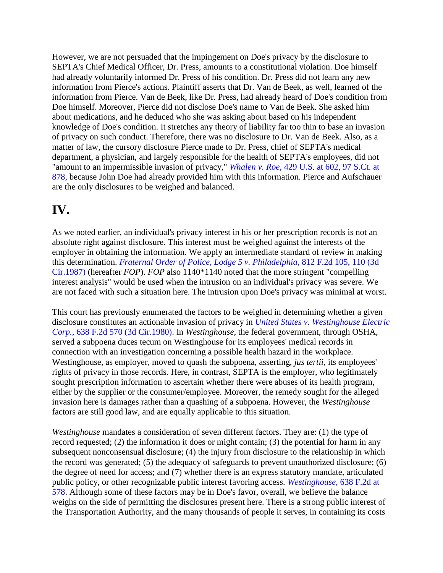However, we are not persuaded that the impingement on Doe's privacy by the disclosure to SEPTA's Chief Medical Officer, Dr. Press, amounts to a constitutional violation. Doe himself had already voluntarily informed Dr. Press of his condition. Dr. Press did not learn any new information from Pierce's actions. Plaintiff asserts that Dr. Van de Beek, as well, learned of the information from Pierce. Van de Beek, like Dr. Press, had already heard of Doe's condition from Doe himself. Moreover, Pierce did not disclose Doe's name to Van de Beek. She asked him about medications, and he deduced who she was asking about based on his independent knowledge of Doe's condition. It stretches any theory of liability far too thin to base an invasion of privacy on such conduct. Therefore, there was no disclosure to Dr. Van de Beek. Also, as a matter of law, the cursory disclosure Pierce made to Dr. Press, chief of SEPTA's medical department, a physician, and largely responsible for the health of SEPTA's employees, did not "amount to an impermissible invasion of privacy," *Whalen v. Roe,* [429 U.S. at 602, 97 S.Ct. at](http://scholar.google.co.in/scholar_case?case=8555735987895894452&hl=en&as_sdt=2002&as_vis=1)  [878,](http://scholar.google.co.in/scholar_case?case=8555735987895894452&hl=en&as_sdt=2002&as_vis=1) because John Doe had already provided him with this information. Pierce and Aufschauer are the only disclosures to be weighed and balanced.

### **IV.**

As we noted earlier, an individual's privacy interest in his or her prescription records is not an absolute right against disclosure. This interest must be weighed against the interests of the employer in obtaining the information. We apply an intermediate standard of review in making this determination. *[Fraternal Order of Police, Lodge 5 v. Philadelphia,](http://scholar.google.co.in/scholar_case?case=12444027463943179437&hl=en&as_sdt=2002&as_vis=1)* 812 F.2d 105, 110 (3d [Cir.1987\)](http://scholar.google.co.in/scholar_case?case=12444027463943179437&hl=en&as_sdt=2002&as_vis=1) (hereafter *FOP*). *FOP* also 1140\*1140 noted that the more stringent "compelling interest analysis" would be used when the intrusion on an individual's privacy was severe. We are not faced with such a situation here. The intrusion upon Doe's privacy was minimal at worst.

This court has previously enumerated the factors to be weighed in determining whether a given disclosure constitutes an actionable invasion of privacy in *[United States v. Westinghouse Electric](http://scholar.google.co.in/scholar_case?case=10617585320101639909&hl=en&as_sdt=2002&as_vis=1)  Corp.,* [638 F.2d 570 \(3d Cir.1980\).](http://scholar.google.co.in/scholar_case?case=10617585320101639909&hl=en&as_sdt=2002&as_vis=1) In *Westinghouse,* the federal government, through OSHA, served a subpoena duces tecum on Westinghouse for its employees' medical records in connection with an investigation concerning a possible health hazard in the workplace. Westinghouse, as employer, moved to quash the subpoena, asserting, *jus tertii,* its employees' rights of privacy in those records. Here, in contrast, SEPTA is the employer, who legitimately sought prescription information to ascertain whether there were abuses of its health program, either by the supplier or the consumer/employee. Moreover, the remedy sought for the alleged invasion here is damages rather than a quashing of a subpoena. However, the *Westinghouse* factors are still good law, and are equally applicable to this situation.

*Westinghouse* mandates a consideration of seven different factors. They are: (1) the type of record requested; (2) the information it does or might contain; (3) the potential for harm in any subsequent nonconsensual disclosure; (4) the injury from disclosure to the relationship in which the record was generated; (5) the adequacy of safeguards to prevent unauthorized disclosure; (6) the degree of need for access; and (7) whether there is an express statutory mandate, articulated public policy, or other recognizable public interest favoring access. *[Westinghouse,](http://scholar.google.co.in/scholar_case?case=10617585320101639909&hl=en&as_sdt=2002&as_vis=1)* 638 F.2d at [578.](http://scholar.google.co.in/scholar_case?case=10617585320101639909&hl=en&as_sdt=2002&as_vis=1) Although some of these factors may be in Doe's favor, overall, we believe the balance weighs on the side of permitting the disclosures present here. There is a strong public interest of the Transportation Authority, and the many thousands of people it serves, in containing its costs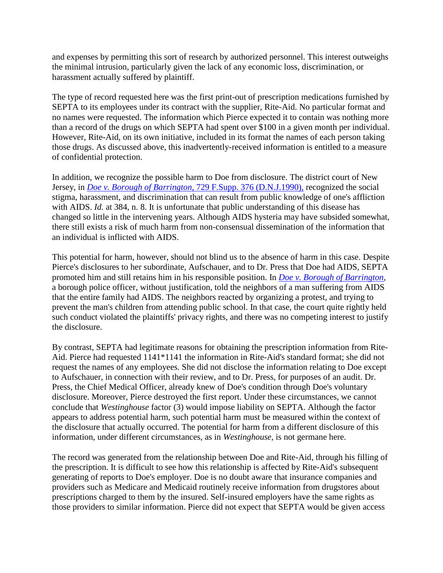and expenses by permitting this sort of research by authorized personnel. This interest outweighs the minimal intrusion, particularly given the lack of any economic loss, discrimination, or harassment actually suffered by plaintiff.

The type of record requested here was the first print-out of prescription medications furnished by SEPTA to its employees under its contract with the supplier, Rite-Aid. No particular format and no names were requested. The information which Pierce expected it to contain was nothing more than a record of the drugs on which SEPTA had spent over \$100 in a given month per individual. However, Rite-Aid, on its own initiative, included in its format the names of each person taking those drugs. As discussed above, this inadvertently-received information is entitled to a measure of confidential protection.

In addition, we recognize the possible harm to Doe from disclosure. The district court of New Jersey, in *Doe v. Borough of Barrington,* [729 F.Supp. 376 \(D.N.J.1990\),](http://scholar.google.co.in/scholar_case?case=13274421745578532613&hl=en&as_sdt=2002&as_vis=1) recognized the social stigma, harassment, and discrimination that can result from public knowledge of one's affliction with AIDS. *Id.* at 384, n. 8. It is unfortunate that public understanding of this disease has changed so little in the intervening years. Although AIDS hysteria may have subsided somewhat, there still exists a risk of much harm from non-consensual dissemination of the information that an individual is inflicted with AIDS.

This potential for harm, however, should not blind us to the absence of harm in this case. Despite Pierce's disclosures to her subordinate, Aufschauer, and to Dr. Press that Doe had AIDS, SEPTA promoted him and still retains him in his responsible position. In *[Doe v. Borough of Barrington,](http://scholar.google.co.in/scholar_case?case=13274421745578532613&hl=en&as_sdt=2002&as_vis=1)* a borough police officer, without justification, told the neighbors of a man suffering from AIDS that the entire family had AIDS. The neighbors reacted by organizing a protest, and trying to prevent the man's children from attending public school. In that case, the court quite rightly held such conduct violated the plaintiffs' privacy rights, and there was no competing interest to justify the disclosure.

By contrast, SEPTA had legitimate reasons for obtaining the prescription information from Rite-Aid. Pierce had requested 1141\*1141 the information in Rite-Aid's standard format; she did not request the names of any employees. She did not disclose the information relating to Doe except to Aufschauer, in connection with their review, and to Dr. Press, for purposes of an audit. Dr. Press, the Chief Medical Officer, already knew of Doe's condition through Doe's voluntary disclosure. Moreover, Pierce destroyed the first report. Under these circumstances, we cannot conclude that *Westinghouse* factor (3) would impose liability on SEPTA. Although the factor appears to address potential harm, such potential harm must be measured within the context of the disclosure that actually occurred. The potential for harm from a different disclosure of this information, under different circumstances, as in *Westinghouse,* is not germane here.

The record was generated from the relationship between Doe and Rite-Aid, through his filling of the prescription. It is difficult to see how this relationship is affected by Rite-Aid's subsequent generating of reports to Doe's employer. Doe is no doubt aware that insurance companies and providers such as Medicare and Medicaid routinely receive information from drugstores about prescriptions charged to them by the insured. Self-insured employers have the same rights as those providers to similar information. Pierce did not expect that SEPTA would be given access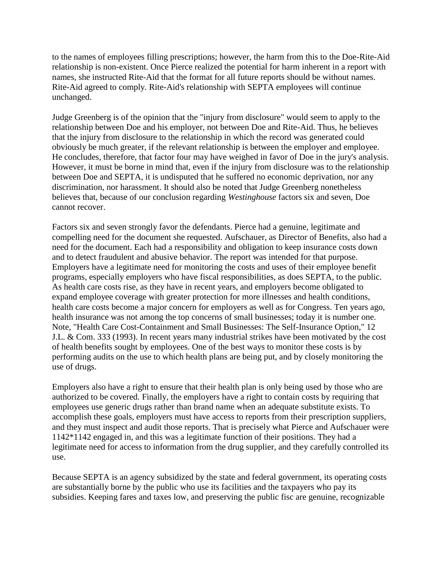to the names of employees filling prescriptions; however, the harm from this to the Doe-Rite-Aid relationship is non-existent. Once Pierce realized the potential for harm inherent in a report with names, she instructed Rite-Aid that the format for all future reports should be without names. Rite-Aid agreed to comply. Rite-Aid's relationship with SEPTA employees will continue unchanged.

Judge Greenberg is of the opinion that the "injury from disclosure" would seem to apply to the relationship between Doe and his employer, not between Doe and Rite-Aid. Thus, he believes that the injury from disclosure to the relationship in which the record was generated could obviously be much greater, if the relevant relationship is between the employer and employee. He concludes, therefore, that factor four may have weighed in favor of Doe in the jury's analysis. However, it must be borne in mind that, even if the injury from disclosure was to the relationship between Doe and SEPTA, it is undisputed that he suffered no economic deprivation, nor any discrimination, nor harassment. It should also be noted that Judge Greenberg nonetheless believes that, because of our conclusion regarding *Westinghouse* factors six and seven, Doe cannot recover.

Factors six and seven strongly favor the defendants. Pierce had a genuine, legitimate and compelling need for the document she requested. Aufschauer, as Director of Benefits, also had a need for the document. Each had a responsibility and obligation to keep insurance costs down and to detect fraudulent and abusive behavior. The report was intended for that purpose. Employers have a legitimate need for monitoring the costs and uses of their employee benefit programs, especially employers who have fiscal responsibilities, as does SEPTA, to the public. As health care costs rise, as they have in recent years, and employers become obligated to expand employee coverage with greater protection for more illnesses and health conditions, health care costs become a major concern for employers as well as for Congress. Ten years ago, health insurance was not among the top concerns of small businesses; today it is number one. Note, "Health Care Cost-Containment and Small Businesses: The Self-Insurance Option," 12 J.L. & Com. 333 (1993). In recent years many industrial strikes have been motivated by the cost of health benefits sought by employees. One of the best ways to monitor these costs is by performing audits on the use to which health plans are being put, and by closely monitoring the use of drugs.

Employers also have a right to ensure that their health plan is only being used by those who are authorized to be covered. Finally, the employers have a right to contain costs by requiring that employees use generic drugs rather than brand name when an adequate substitute exists. To accomplish these goals, employers must have access to reports from their prescription suppliers, and they must inspect and audit those reports. That is precisely what Pierce and Aufschauer were 1142\*1142 engaged in, and this was a legitimate function of their positions. They had a legitimate need for access to information from the drug supplier, and they carefully controlled its use.

Because SEPTA is an agency subsidized by the state and federal government, its operating costs are substantially borne by the public who use its facilities and the taxpayers who pay its subsidies. Keeping fares and taxes low, and preserving the public fisc are genuine, recognizable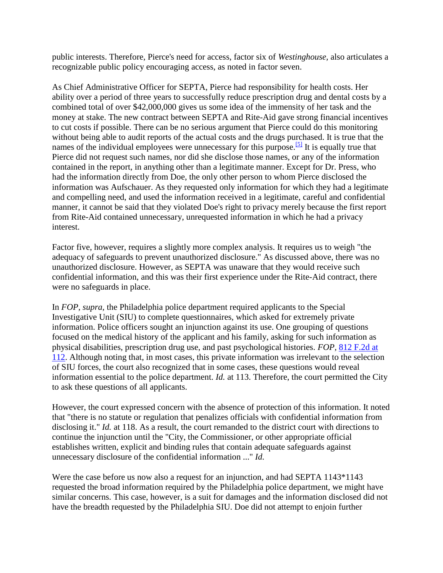public interests. Therefore, Pierce's need for access, factor six of *Westinghouse,* also articulates a recognizable public policy encouraging access, as noted in factor seven.

As Chief Administrative Officer for SEPTA, Pierce had responsibility for health costs. Her ability over a period of three years to successfully reduce prescription drug and dental costs by a combined total of over \$42,000,000 gives us some idea of the immensity of her task and the money at stake. The new contract between SEPTA and Rite-Aid gave strong financial incentives to cut costs if possible. There can be no serious argument that Pierce could do this monitoring without being able to audit reports of the actual costs and the drugs purchased. It is true that the names of the individual employees were unnecessary for this purpose.<sup>[\[5\]](http://scholar.google.co.in/scholar_case?case=17589155420410349788&hl=en&as_sdt=2&as_vis=1&oi=scholarr#[5])</sup> It is equally true that Pierce did not request such names, nor did she disclose those names, or any of the information contained in the report, in anything other than a legitimate manner. Except for Dr. Press, who had the information directly from Doe, the only other person to whom Pierce disclosed the information was Aufschauer. As they requested only information for which they had a legitimate and compelling need, and used the information received in a legitimate, careful and confidential manner, it cannot be said that they violated Doe's right to privacy merely because the first report from Rite-Aid contained unnecessary, unrequested information in which he had a privacy interest.

Factor five, however, requires a slightly more complex analysis. It requires us to weigh "the adequacy of safeguards to prevent unauthorized disclosure." As discussed above, there was no unauthorized disclosure. However, as SEPTA was unaware that they would receive such confidential information, and this was their first experience under the Rite-Aid contract, there were no safeguards in place.

In *FOP, supra,* the Philadelphia police department required applicants to the Special Investigative Unit (SIU) to complete questionnaires, which asked for extremely private information. Police officers sought an injunction against its use. One grouping of questions focused on the medical history of the applicant and his family, asking for such information as physical disabilities, prescription drug use, and past psychological histories. *FOP,* [812 F.2d at](http://scholar.google.co.in/scholar_case?case=12444027463943179437&hl=en&as_sdt=2002&as_vis=1)  [112.](http://scholar.google.co.in/scholar_case?case=12444027463943179437&hl=en&as_sdt=2002&as_vis=1) Although noting that, in most cases, this private information was irrelevant to the selection of SIU forces, the court also recognized that in some cases, these questions would reveal information essential to the police department. *Id.* at 113. Therefore, the court permitted the City to ask these questions of all applicants.

However, the court expressed concern with the absence of protection of this information. It noted that "there is no statute or regulation that penalizes officials with confidential information from disclosing it." *Id.* at 118. As a result, the court remanded to the district court with directions to continue the injunction until the "City, the Commissioner, or other appropriate official establishes written, explicit and binding rules that contain adequate safeguards against unnecessary disclosure of the confidential information ..." *Id.*

Were the case before us now also a request for an injunction, and had SEPTA 1143\*1143 requested the broad information required by the Philadelphia police department, we might have similar concerns. This case, however, is a suit for damages and the information disclosed did not have the breadth requested by the Philadelphia SIU. Doe did not attempt to enjoin further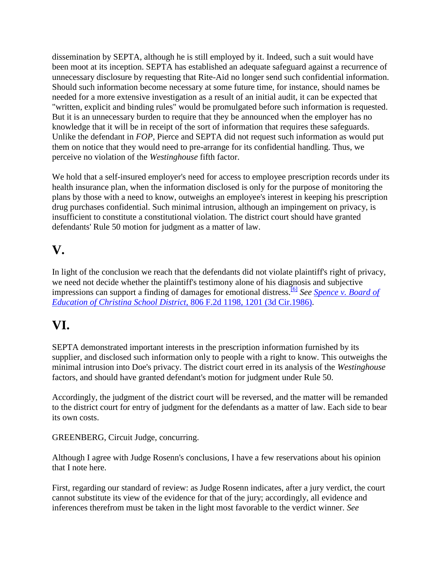dissemination by SEPTA, although he is still employed by it. Indeed, such a suit would have been moot at its inception. SEPTA has established an adequate safeguard against a recurrence of unnecessary disclosure by requesting that Rite-Aid no longer send such confidential information. Should such information become necessary at some future time, for instance, should names be needed for a more extensive investigation as a result of an initial audit, it can be expected that "written, explicit and binding rules" would be promulgated before such information is requested. But it is an unnecessary burden to require that they be announced when the employer has no knowledge that it will be in receipt of the sort of information that requires these safeguards. Unlike the defendant in *FOP,* Pierce and SEPTA did not request such information as would put them on notice that they would need to pre-arrange for its confidential handling. Thus, we perceive no violation of the *Westinghouse* fifth factor.

We hold that a self-insured employer's need for access to employee prescription records under its health insurance plan, when the information disclosed is only for the purpose of monitoring the plans by those with a need to know, outweighs an employee's interest in keeping his prescription drug purchases confidential. Such minimal intrusion, although an impingement on privacy, is insufficient to constitute a constitutional violation. The district court should have granted defendants' Rule 50 motion for judgment as a matter of law.

# **V.**

In light of the conclusion we reach that the defendants did not violate plaintiff's right of privacy, we need not decide whether the plaintiff's testimony alone of his diagnosis and subjective impressions can support a finding of damages for emotional distress.<sup>[\[6\]](http://scholar.google.co.in/scholar_case?case=17589155420410349788&hl=en&as_sdt=2&as_vis=1&oi=scholarr#[6])</sup> *See Spence v. Board of [Education of Christina School District,](http://scholar.google.co.in/scholar_case?case=17962790954081955777&hl=en&as_sdt=2002&as_vis=1)* 806 F.2d 1198, 1201 (3d Cir.1986).

# **VI.**

SEPTA demonstrated important interests in the prescription information furnished by its supplier, and disclosed such information only to people with a right to know. This outweighs the minimal intrusion into Doe's privacy. The district court erred in its analysis of the *Westinghouse* factors, and should have granted defendant's motion for judgment under Rule 50.

Accordingly, the judgment of the district court will be reversed, and the matter will be remanded to the district court for entry of judgment for the defendants as a matter of law. Each side to bear its own costs.

GREENBERG, Circuit Judge, concurring.

Although I agree with Judge Rosenn's conclusions, I have a few reservations about his opinion that I note here.

First, regarding our standard of review: as Judge Rosenn indicates, after a jury verdict, the court cannot substitute its view of the evidence for that of the jury; accordingly, all evidence and inferences therefrom must be taken in the light most favorable to the verdict winner. *See*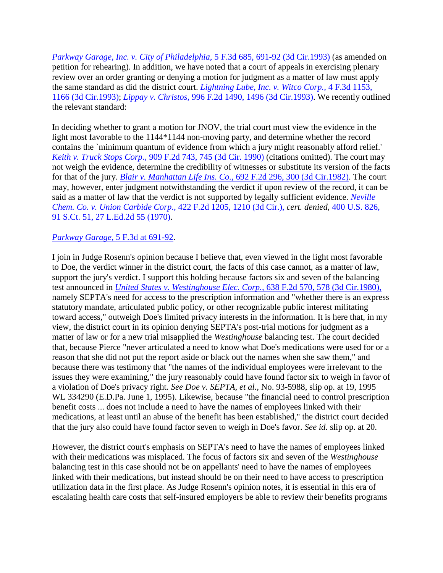*[Parkway Garage, Inc. v. City of Philadelphia,](http://scholar.google.co.in/scholar_case?case=1513681999608042528&hl=en&as_sdt=2002&as_vis=1)* 5 F.3d 685, 691-92 (3d Cir.1993) (as amended on petition for rehearing). In addition, we have noted that a court of appeals in exercising plenary review over an order granting or denying a motion for judgment as a matter of law must apply the same standard as did the district court. *[Lightning Lube, Inc. v. Witco Corp.,](http://scholar.google.co.in/scholar_case?case=1248197138958148773&hl=en&as_sdt=2002&as_vis=1)* 4 F.3d 1153, [1166 \(3d Cir.1993\);](http://scholar.google.co.in/scholar_case?case=1248197138958148773&hl=en&as_sdt=2002&as_vis=1) *Lippay v. Christos,* [996 F.2d 1490, 1496 \(3d Cir.1993\).](http://scholar.google.co.in/scholar_case?case=2189630979481220681&hl=en&as_sdt=2002&as_vis=1) We recently outlined the relevant standard:

In deciding whether to grant a motion for JNOV, the trial court must view the evidence in the light most favorable to the 1144\*1144 non-moving party, and determine whether the record contains the `minimum quantum of evidence from which a jury might reasonably afford relief.' *Keith v. Truck Stops Corp.,* [909 F.2d 743, 745 \(3d Cir. 1990\)](http://scholar.google.co.in/scholar_case?case=12190678009634618839&hl=en&as_sdt=2002&as_vis=1) (citations omitted). The court may not weigh the evidence, determine the credibility of witnesses or substitute its version of the facts for that of the jury. *Blair v. Manhattan Life Ins. Co.,* [692 F.2d 296, 300 \(3d Cir.1982\).](http://scholar.google.co.in/scholar_case?case=1641586209781610373&hl=en&as_sdt=2002&as_vis=1) The court may, however, enter judgment notwithstanding the verdict if upon review of the record, it can be said as a matter of law that the verdict is not supported by legally sufficient evidence. *[Neville](http://scholar.google.co.in/scholar_case?case=4834466853768252387&hl=en&as_sdt=2002&as_vis=1)  [Chem. Co. v. Union Carbide Corp.,](http://scholar.google.co.in/scholar_case?case=4834466853768252387&hl=en&as_sdt=2002&as_vis=1)* 422 F.2d 1205, 1210 (3d Cir.), *cert. denied,* [400 U.S. 826,](http://scholar.google.co.in/scholar_case?about=1139381905740953112&hl=en&as_sdt=2002&as_vis=1)  [91 S.Ct. 51, 27 L.Ed.2d 55 \(1970\).](http://scholar.google.co.in/scholar_case?about=1139381905740953112&hl=en&as_sdt=2002&as_vis=1)

#### *[Parkway Garage,](http://scholar.google.co.in/scholar_case?case=1513681999608042528&hl=en&as_sdt=2002&as_vis=1)* 5 F.3d at 691-92.

I join in Judge Rosenn's opinion because I believe that, even viewed in the light most favorable to Doe, the verdict winner in the district court, the facts of this case cannot, as a matter of law, support the jury's verdict. I support this holding because factors six and seven of the balancing test announced in *[United States v. Westinghouse Elec. Corp.,](http://scholar.google.co.in/scholar_case?case=10617585320101639909&hl=en&as_sdt=2002&as_vis=1)* 638 F.2d 570, 578 (3d Cir.1980), namely SEPTA's need for access to the prescription information and "whether there is an express statutory mandate, articulated public policy, or other recognizable public interest militating toward access," outweigh Doe's limited privacy interests in the information. It is here that, in my view, the district court in its opinion denying SEPTA's post-trial motions for judgment as a matter of law or for a new trial misapplied the *Westinghouse* balancing test. The court decided that, because Pierce "never articulated a need to know what Doe's medications were used for or a reason that she did not put the report aside or black out the names when she saw them," and because there was testimony that "the names of the individual employees were irrelevant to the issues they were examining," the jury reasonably could have found factor six to weigh in favor of a violation of Doe's privacy right. *See Doe v. SEPTA, et al.,* No. 93-5988, slip op. at 19, 1995 WL 334290 (E.D.Pa. June 1, 1995). Likewise, because "the financial need to control prescription benefit costs ... does not include a need to have the names of employees linked with their medications, at least until an abuse of the benefit has been established," the district court decided that the jury also could have found factor seven to weigh in Doe's favor. *See id.* slip op. at 20.

However, the district court's emphasis on SEPTA's need to have the names of employees linked with their medications was misplaced. The focus of factors six and seven of the *Westinghouse* balancing test in this case should not be on appellants' need to have the names of employees linked with their medications, but instead should be on their need to have access to prescription utilization data in the first place. As Judge Rosenn's opinion notes, it is essential in this era of escalating health care costs that self-insured employers be able to review their benefits programs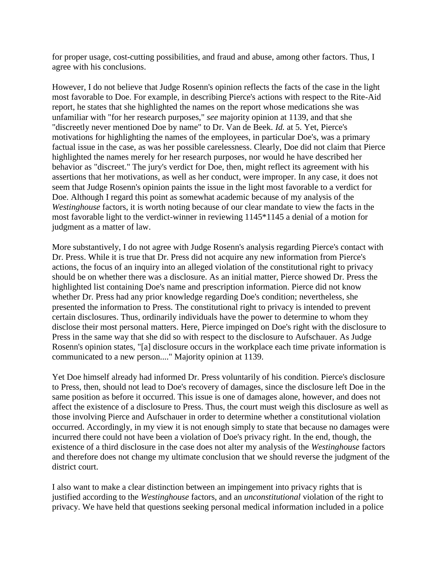for proper usage, cost-cutting possibilities, and fraud and abuse, among other factors. Thus, I agree with his conclusions.

However, I do not believe that Judge Rosenn's opinion reflects the facts of the case in the light most favorable to Doe. For example, in describing Pierce's actions with respect to the Rite-Aid report, he states that she highlighted the names on the report whose medications she was unfamiliar with "for her research purposes," *see* majority opinion at 1139, and that she "discreetly never mentioned Doe by name" to Dr. Van de Beek. *Id.* at 5. Yet, Pierce's motivations for highlighting the names of the employees, in particular Doe's, was a primary factual issue in the case, as was her possible carelessness. Clearly, Doe did not claim that Pierce highlighted the names merely for her research purposes, nor would he have described her behavior as "discreet." The jury's verdict for Doe, then, might reflect its agreement with his assertions that her motivations, as well as her conduct, were improper. In any case, it does not seem that Judge Rosenn's opinion paints the issue in the light most favorable to a verdict for Doe. Although I regard this point as somewhat academic because of my analysis of the *Westinghouse* factors, it is worth noting because of our clear mandate to view the facts in the most favorable light to the verdict-winner in reviewing 1145\*1145 a denial of a motion for judgment as a matter of law.

More substantively, I do not agree with Judge Rosenn's analysis regarding Pierce's contact with Dr. Press. While it is true that Dr. Press did not acquire any new information from Pierce's actions, the focus of an inquiry into an alleged violation of the constitutional right to privacy should be on whether there was a disclosure. As an initial matter, Pierce showed Dr. Press the highlighted list containing Doe's name and prescription information. Pierce did not know whether Dr. Press had any prior knowledge regarding Doe's condition; nevertheless, she presented the information to Press. The constitutional right to privacy is intended to prevent certain disclosures. Thus, ordinarily individuals have the power to determine to whom they disclose their most personal matters. Here, Pierce impinged on Doe's right with the disclosure to Press in the same way that she did so with respect to the disclosure to Aufschauer. As Judge Rosenn's opinion states, "[a] disclosure occurs in the workplace each time private information is communicated to a new person...." Majority opinion at 1139.

Yet Doe himself already had informed Dr. Press voluntarily of his condition. Pierce's disclosure to Press, then, should not lead to Doe's recovery of damages, since the disclosure left Doe in the same position as before it occurred. This issue is one of damages alone, however, and does not affect the existence of a disclosure to Press. Thus, the court must weigh this disclosure as well as those involving Pierce and Aufschauer in order to determine whether a constitutional violation occurred. Accordingly, in my view it is not enough simply to state that because no damages were incurred there could not have been a violation of Doe's privacy right. In the end, though, the existence of a third disclosure in the case does not alter my analysis of the *Westinghouse* factors and therefore does not change my ultimate conclusion that we should reverse the judgment of the district court.

I also want to make a clear distinction between an impingement into privacy rights that is justified according to the *Westinghouse* factors, and an *unconstitutional* violation of the right to privacy. We have held that questions seeking personal medical information included in a police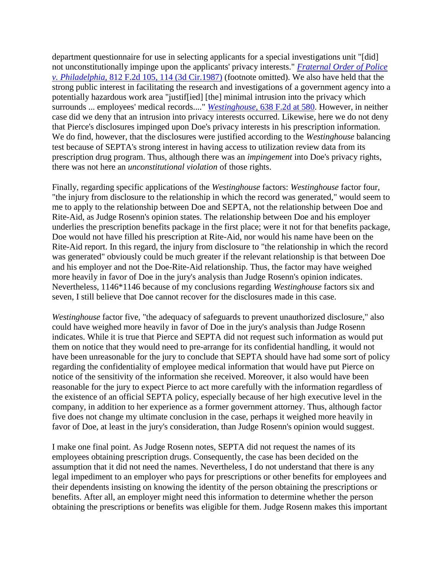department questionnaire for use in selecting applicants for a special investigations unit "[did] not unconstitutionally impinge upon the applicants' privacy interests." *[Fraternal Order of Police](http://scholar.google.co.in/scholar_case?case=12444027463943179437&hl=en&as_sdt=2002&as_vis=1)  v. Philadelphia,* [812 F.2d 105, 114 \(3d Cir.1987\)](http://scholar.google.co.in/scholar_case?case=12444027463943179437&hl=en&as_sdt=2002&as_vis=1) (footnote omitted). We also have held that the strong public interest in facilitating the research and investigations of a government agency into a potentially hazardous work area "justif[ied] [the] minimal intrusion into the privacy which surrounds ... employees' medical records...." *Westinghouse,* [638 F.2d at 580.](http://scholar.google.co.in/scholar_case?case=10617585320101639909&hl=en&as_sdt=2002&as_vis=1) However, in neither case did we deny that an intrusion into privacy interests occurred. Likewise, here we do not deny that Pierce's disclosures impinged upon Doe's privacy interests in his prescription information. We do find, however, that the disclosures were justified according to the *Westinghouse* balancing test because of SEPTA's strong interest in having access to utilization review data from its prescription drug program. Thus, although there was an *impingement* into Doe's privacy rights, there was not here an *unconstitutional violation* of those rights.

Finally, regarding specific applications of the *Westinghouse* factors: *Westinghouse* factor four, "the injury from disclosure to the relationship in which the record was generated," would seem to me to apply to the relationship between Doe and SEPTA, not the relationship between Doe and Rite-Aid, as Judge Rosenn's opinion states. The relationship between Doe and his employer underlies the prescription benefits package in the first place; were it not for that benefits package, Doe would not have filled his prescription at Rite-Aid, nor would his name have been on the Rite-Aid report. In this regard, the injury from disclosure to "the relationship in which the record was generated" obviously could be much greater if the relevant relationship is that between Doe and his employer and not the Doe-Rite-Aid relationship. Thus, the factor may have weighed more heavily in favor of Doe in the jury's analysis than Judge Rosenn's opinion indicates. Nevertheless, 1146\*1146 because of my conclusions regarding *Westinghouse* factors six and seven, I still believe that Doe cannot recover for the disclosures made in this case.

*Westinghouse* factor five, "the adequacy of safeguards to prevent unauthorized disclosure," also could have weighed more heavily in favor of Doe in the jury's analysis than Judge Rosenn indicates. While it is true that Pierce and SEPTA did not request such information as would put them on notice that they would need to pre-arrange for its confidential handling, it would not have been unreasonable for the jury to conclude that SEPTA should have had some sort of policy regarding the confidentiality of employee medical information that would have put Pierce on notice of the sensitivity of the information she received. Moreover, it also would have been reasonable for the jury to expect Pierce to act more carefully with the information regardless of the existence of an official SEPTA policy, especially because of her high executive level in the company, in addition to her experience as a former government attorney. Thus, although factor five does not change my ultimate conclusion in the case, perhaps it weighed more heavily in favor of Doe, at least in the jury's consideration, than Judge Rosenn's opinion would suggest.

I make one final point. As Judge Rosenn notes, SEPTA did not request the names of its employees obtaining prescription drugs. Consequently, the case has been decided on the assumption that it did not need the names. Nevertheless, I do not understand that there is any legal impediment to an employer who pays for prescriptions or other benefits for employees and their dependents insisting on knowing the identity of the person obtaining the prescriptions or benefits. After all, an employer might need this information to determine whether the person obtaining the prescriptions or benefits was eligible for them. Judge Rosenn makes this important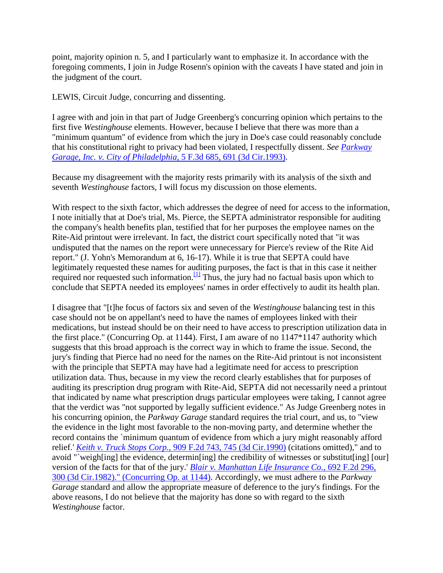point, majority opinion n. 5, and I particularly want to emphasize it. In accordance with the foregoing comments, I join in Judge Rosenn's opinion with the caveats I have stated and join in the judgment of the court.

LEWIS, Circuit Judge, concurring and dissenting.

I agree with and join in that part of Judge Greenberg's concurring opinion which pertains to the first five *Westinghouse* elements. However, because I believe that there was more than a "minimum quantum" of evidence from which the jury in Doe's case could reasonably conclude that his constitutional right to privacy had been violated, I respectfully dissent. *See [Parkway](http://scholar.google.co.in/scholar_case?case=1513681999608042528&hl=en&as_sdt=2002&as_vis=1)  [Garage, Inc. v. City of Philadelphia,](http://scholar.google.co.in/scholar_case?case=1513681999608042528&hl=en&as_sdt=2002&as_vis=1)* 5 F.3d 685, 691 (3d Cir.1993).

Because my disagreement with the majority rests primarily with its analysis of the sixth and seventh *Westinghouse* factors, I will focus my discussion on those elements.

With respect to the sixth factor, which addresses the degree of need for access to the information, I note initially that at Doe's trial, Ms. Pierce, the SEPTA administrator responsible for auditing the company's health benefits plan, testified that for her purposes the employee names on the Rite-Aid printout were irrelevant. In fact, the district court specifically noted that "it was undisputed that the names on the report were unnecessary for Pierce's review of the Rite Aid report." (J. Yohn's Memorandum at 6, 16-17). While it is true that SEPTA could have legitimately requested these names for auditing purposes, the fact is that in this case it neither required nor requested such information.<sup>[\[1\]](http://scholar.google.co.in/scholar_case?case=17589155420410349788&hl=en&as_sdt=2&as_vis=1&oi=scholarr#[7])</sup> Thus, the jury had no factual basis upon which to conclude that SEPTA needed its employees' names in order effectively to audit its health plan.

I disagree that "[t]he focus of factors six and seven of the *Westinghouse* balancing test in this case should not be on appellant's need to have the names of employees linked with their medications, but instead should be on their need to have access to prescription utilization data in the first place." (Concurring Op. at 1144). First, I am aware of no 1147\*1147 authority which suggests that this broad approach is the correct way in which to frame the issue. Second, the jury's finding that Pierce had no need for the names on the Rite-Aid printout is not inconsistent with the principle that SEPTA may have had a legitimate need for access to prescription utilization data. Thus, because in my view the record clearly establishes that for purposes of auditing its prescription drug program with Rite-Aid, SEPTA did not necessarily need a printout that indicated by name what prescription drugs particular employees were taking, I cannot agree that the verdict was "not supported by legally sufficient evidence." As Judge Greenberg notes in his concurring opinion, the *Parkway Garage* standard requires the trial court, and us, to "view the evidence in the light most favorable to the non-moving party, and determine whether the record contains the `minimum quantum of evidence from which a jury might reasonably afford relief.' *Keith v. Truck Stops Corp.,* [909 F.2d 743, 745 \(3d Cir.1990\)](http://scholar.google.co.in/scholar_case?case=12190678009634618839&hl=en&as_sdt=2002&as_vis=1) (citations omitted)," and to avoid "`weigh[ing] the evidence, determin[ing] the credibility of witnesses or substitut[ing] [our] version of the facts for that of the jury.' *[Blair v. Manhattan Life Insurance Co.,](http://scholar.google.co.in/scholar_case?case=1641586209781610373&hl=en&as_sdt=2002&as_vis=1)* 692 F.2d 296, [300 \(3d Cir.1982\)." \(Concurring Op. at 1144\).](http://scholar.google.co.in/scholar_case?case=1641586209781610373&hl=en&as_sdt=2002&as_vis=1) Accordingly, we must adhere to the *Parkway Garage* standard and allow the appropriate measure of deference to the jury's findings. For the above reasons, I do not believe that the majority has done so with regard to the sixth *Westinghouse* factor.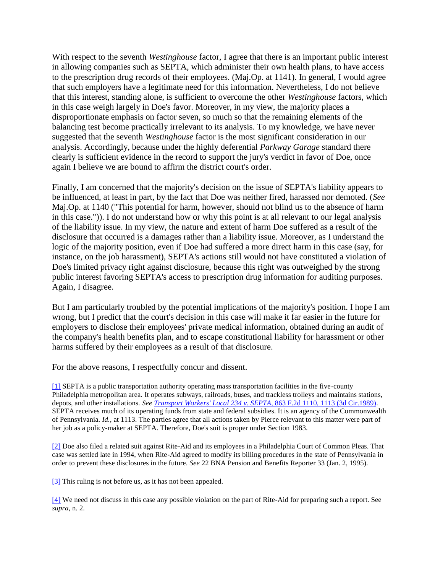With respect to the seventh *Westinghouse* factor, I agree that there is an important public interest in allowing companies such as SEPTA, which administer their own health plans, to have access to the prescription drug records of their employees. (Maj.Op. at 1141). In general, I would agree that such employers have a legitimate need for this information. Nevertheless, I do not believe that this interest, standing alone, is sufficient to overcome the other *Westinghouse* factors, which in this case weigh largely in Doe's favor. Moreover, in my view, the majority places a disproportionate emphasis on factor seven, so much so that the remaining elements of the balancing test become practically irrelevant to its analysis. To my knowledge, we have never suggested that the seventh *Westinghouse* factor is the most significant consideration in our analysis. Accordingly, because under the highly deferential *Parkway Garage* standard there clearly is sufficient evidence in the record to support the jury's verdict in favor of Doe, once again I believe we are bound to affirm the district court's order.

Finally, I am concerned that the majority's decision on the issue of SEPTA's liability appears to be influenced, at least in part, by the fact that Doe was neither fired, harassed nor demoted. (*See* Maj.Op. at 1140 ("This potential for harm, however, should not blind us to the absence of harm in this case.")). I do not understand how or why this point is at all relevant to our legal analysis of the liability issue. In my view, the nature and extent of harm Doe suffered as a result of the disclosure that occurred is a damages rather than a liability issue. Moreover, as I understand the logic of the majority position, even if Doe had suffered a more direct harm in this case (say, for instance, on the job harassment), SEPTA's actions still would not have constituted a violation of Doe's limited privacy right against disclosure, because this right was outweighed by the strong public interest favoring SEPTA's access to prescription drug information for auditing purposes. Again, I disagree.

But I am particularly troubled by the potential implications of the majority's position. I hope I am wrong, but I predict that the court's decision in this case will make it far easier in the future for employers to disclose their employees' private medical information, obtained during an audit of the company's health benefits plan, and to escape constitutional liability for harassment or other harms suffered by their employees as a result of that disclosure.

For the above reasons, I respectfully concur and dissent.

[\[1\]](http://scholar.google.co.in/scholar_case?case=17589155420410349788&hl=en&as_sdt=2&as_vis=1&oi=scholarr#r[1]) SEPTA is a public transportation authority operating mass transportation facilities in the five-county Philadelphia metropolitan area. It operates subways, railroads, buses, and trackless trolleys and maintains stations, depots, and other installations. *See [Transport Workers' Local 234 v. SEPTA,](http://scholar.google.co.in/scholar_case?case=8859316052914443304&hl=en&as_sdt=2002&as_vis=1)* 863 F.2d 1110, 1113 (3d Cir.1989). SEPTA receives much of its operating funds from state and federal subsidies. It is an agency of the Commonwealth of Pennsylvania. *Id.,* at 1113. The parties agree that all actions taken by Pierce relevant to this matter were part of her job as a policy-maker at SEPTA. Therefore, Doe's suit is proper under Section 1983.

[\[2\]](http://scholar.google.co.in/scholar_case?case=17589155420410349788&hl=en&as_sdt=2&as_vis=1&oi=scholarr#r[2]) Doe also filed a related suit against Rite-Aid and its employees in a Philadelphia Court of Common Pleas. That case was settled late in 1994, when Rite-Aid agreed to modify its billing procedures in the state of Pennsylvania in order to prevent these disclosures in the future. *See* 22 BNA Pension and Benefits Reporter 33 (Jan. 2, 1995).

[\[3\]](http://scholar.google.co.in/scholar_case?case=17589155420410349788&hl=en&as_sdt=2&as_vis=1&oi=scholarr#r[3]) This ruling is not before us, as it has not been appealed.

[\[4\]](http://scholar.google.co.in/scholar_case?case=17589155420410349788&hl=en&as_sdt=2&as_vis=1&oi=scholarr#r[4]) We need not discuss in this case any possible violation on the part of Rite-Aid for preparing such a report. See *supra,* n. 2.